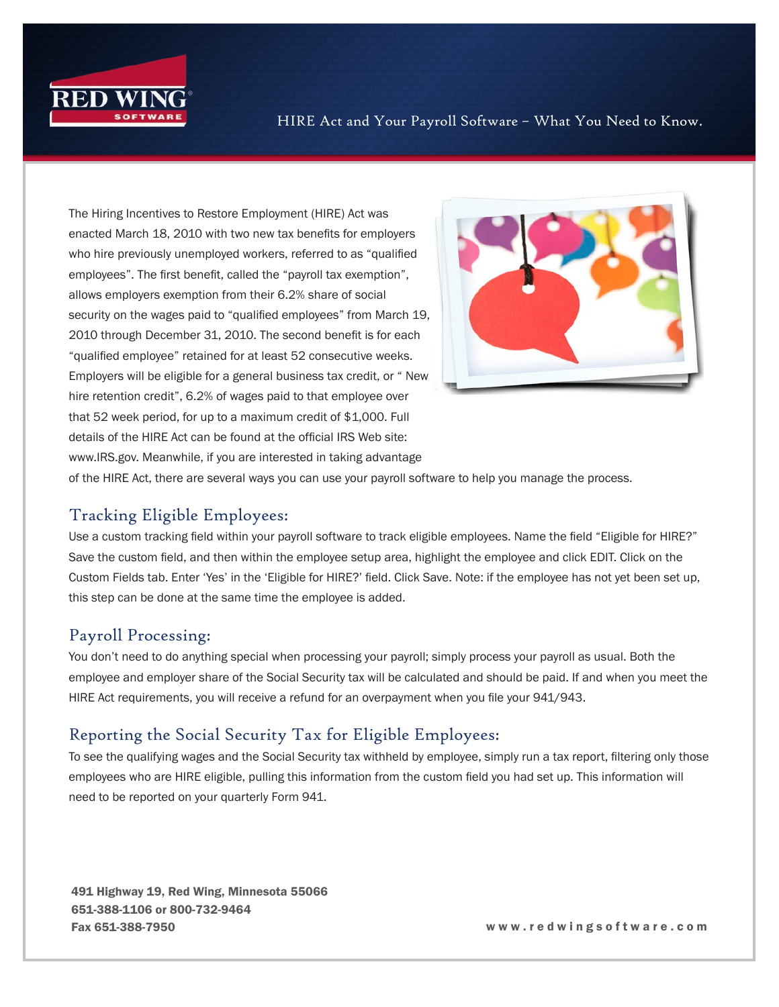

The Hiring Incentives to Restore Employment (HIRE) Act was enacted March 18, 2010 with two new tax benefits for employers who hire previously unemployed workers, referred to as "qualified employees". The first benefit, called the "payroll tax exemption", allows employers exemption from their 6.2% share of social security on the wages paid to "qualified employees" from March 19, 2010 through December 31, 2010. The second benefit is for each "qualified employee" retained for at least 52 consecutive weeks. Employers will be eligible for a general business tax credit, or " New hire retention credit", 6.2% of wages paid to that employee over that 52 week period, for up to a maximum credit of \$1,000. Full details of the HIRE Act can be found at the official IRS Web site: www.IRS.gov. Meanwhile, if you are interested in taking advantage



of the HIRE Act, there are several ways you can use your payroll software to help you manage the process.

## Tracking Eligible Employees:

Use a custom tracking field within your payroll software to track eligible employees. Name the field "Eligible for HIRE?" Save the custom field, and then within the employee setup area, highlight the employee and click EDIT. Click on the Custom Fields tab. Enter 'Yes' in the 'Eligible for HIRE?' field. Click Save. Note: if the employee has not yet been set up, this step can be done at the same time the employee is added.

## Payroll Processing:

You don't need to do anything special when processing your payroll; simply process your payroll as usual. Both the employee and employer share of the Social Security tax will be calculated and should be paid. If and when you meet the HIRE Act requirements, you will receive a refund for an overpayment when you file your 941/943.

## Reporting the Social Security Tax for Eligible Employees:

To see the qualifying wages and the Social Security tax withheld by employee, simply run a tax report, filtering only those employees who are HIRE eligible, pulling this information from the custom field you had set up. This information will need to be reported on your quarterly Form 941.

491 Highway 19, Red Wing, Minnesota 55066 651-388-1106 or 800-732-9464 Fax 651-388-7950 w w w . r e d w i n g s o f t w a r e . c o m